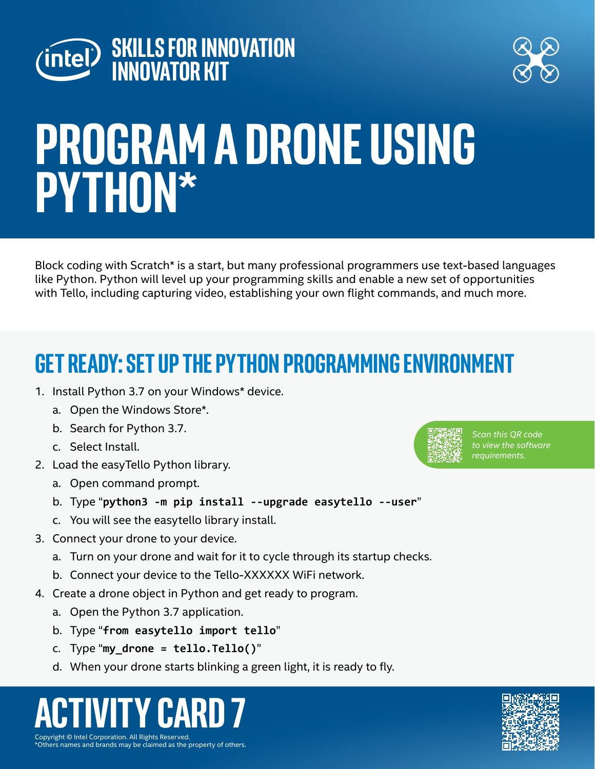



# **Program a drone Using Python\***

Block coding with Scratch\* is a start, but many professional programmers use text-based languages like Python. Python will level up your programming skills and enable a new set of opportunities with Tello, including capturing video, establishing your own flight commands, and much more.

### **Get Ready: Set up the Python programming environment**

- 1. Install Python 3.7 on your Windows\* device.
	- a. Open the Windows Store\*.
	- b. Search for Python 3.7.
	- c. Select Install.
- 2. Load the easyTello Python library.
	- a. Open command prompt.
	- b. Type "**python3 -m pip install --upgrade easytello --user**"
	- c. You will see the easytello library install.
- 3. Connect your drone to your device.
	- a. Turn on your drone and wait for it to cycle through its startup checks.
	- b. Connect your device to the Tello-XXXXXX WiFi network.
- 4. Create a drone object in Python and get ready to program.
	- a. Open the Python 3.7 application.
	- b. Type "**from easytello import tello**"
	- c. Type "**my\_drone = tello.Tello()**"
	- d. When your drone starts blinking a green light, it is ready to fly.

#### Copyright © Intel Corporation. All Rights Reserved. **ACTIVITY CARD 7**

\*Others names and brands may be claimed as the property of others.



*Scan this QR code to view the software requirements.*